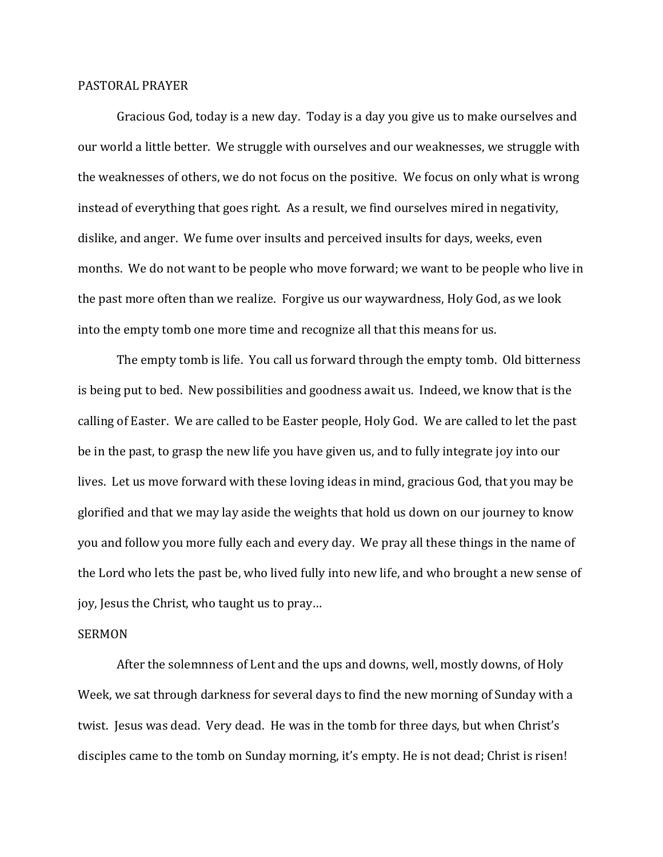## PASTORAL PRAYER

 Gracious God, today is a new day. Today is a day you give us to make ourselves and our world a little better. We struggle with ourselves and our weaknesses, we struggle with the weaknesses of others, we do not focus on the positive. We focus on only what is wrong instead of everything that goes right. As a result, we find ourselves mired in negativity, dislike, and anger. We fume over insults and perceived insults for days, weeks, even months. We do not want to be people who move forward; we want to be people who live in the past more often than we realize. Forgive us our waywardness, Holy God, as we look into the empty tomb one more time and recognize all that this means for us.

 The empty tomb is life. You call us forward through the empty tomb. Old bitterness is being put to bed. New possibilities and goodness await us. Indeed, we know that is the calling of Easter. We are called to be Easter people, Holy God. We are called to let the past be in the past, to grasp the new life you have given us, and to fully integrate joy into our lives. Let us move forward with these loving ideas in mind, gracious God, that you may be glorified and that we may lay aside the weights that hold us down on our journey to know you and follow you more fully each and every day. We pray all these things in the name of the Lord who lets the past be, who lived fully into new life, and who brought a new sense of joy, Jesus the Christ, who taught us to pray…

## SERMON

 After the solemnness of Lent and the ups and downs, well, mostly downs, of Holy Week, we sat through darkness for several days to find the new morning of Sunday with a twist. Jesus was dead. Very dead. He was in the tomb for three days, but when Christ's disciples came to the tomb on Sunday morning, it's empty. He is not dead; Christ is risen!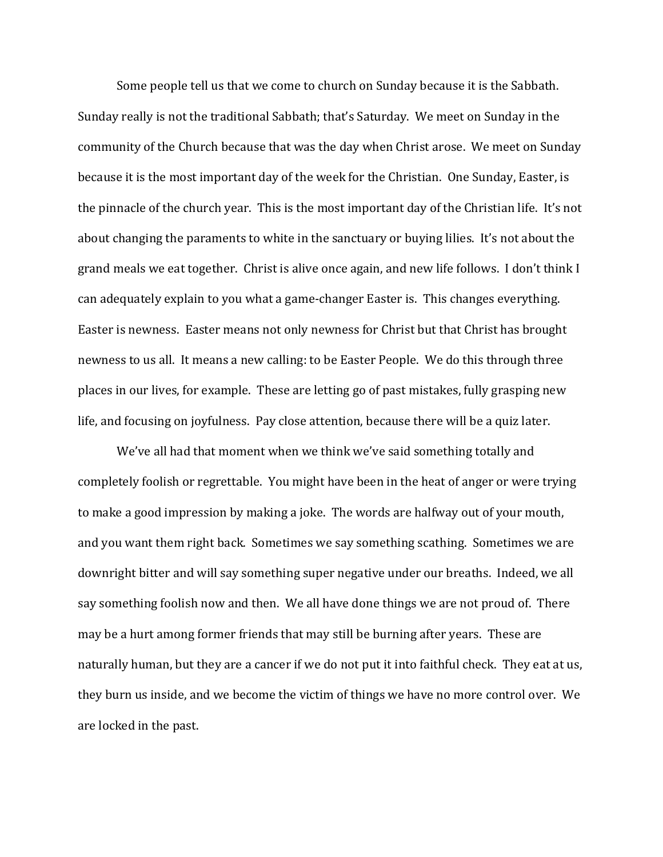Some people tell us that we come to church on Sunday because it is the Sabbath. Sunday really is not the traditional Sabbath; that's Saturday. We meet on Sunday in the community of the Church because that was the day when Christ arose. We meet on Sunday because it is the most important day of the week for the Christian. One Sunday, Easter, is the pinnacle of the church year. This is the most important day of the Christian life. It's not about changing the paraments to white in the sanctuary or buying lilies. It's not about the grand meals we eat together. Christ is alive once again, and new life follows. I don't think I can adequately explain to you what a game-changer Easter is. This changes everything. Easter is newness. Easter means not only newness for Christ but that Christ has brought newness to us all. It means a new calling: to be Easter People. We do this through three places in our lives, for example. These are letting go of past mistakes, fully grasping new life, and focusing on joyfulness. Pay close attention, because there will be a quiz later.

We've all had that moment when we think we've said something totally and completely foolish or regrettable. You might have been in the heat of anger or were trying to make a good impression by making a joke. The words are halfway out of your mouth, and you want them right back. Sometimes we say something scathing. Sometimes we are downright bitter and will say something super negative under our breaths. Indeed, we all say something foolish now and then. We all have done things we are not proud of. There may be a hurt among former friends that may still be burning after years. These are naturally human, but they are a cancer if we do not put it into faithful check. They eat at us, they burn us inside, and we become the victim of things we have no more control over. We are locked in the past.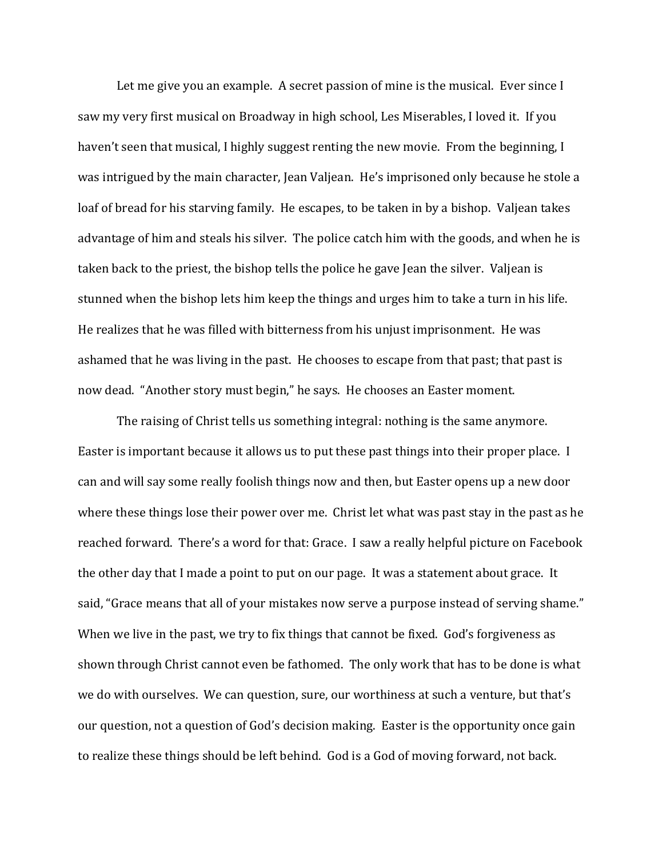Let me give you an example. A secret passion of mine is the musical. Ever since I saw my very first musical on Broadway in high school, Les Miserables, I loved it. If you haven't seen that musical, I highly suggest renting the new movie. From the beginning, I was intrigued by the main character, Jean Valjean. He's imprisoned only because he stole a loaf of bread for his starving family. He escapes, to be taken in by a bishop. Valjean takes advantage of him and steals his silver. The police catch him with the goods, and when he is taken back to the priest, the bishop tells the police he gave Jean the silver. Valjean is stunned when the bishop lets him keep the things and urges him to take a turn in his life. He realizes that he was filled with bitterness from his unjust imprisonment. He was ashamed that he was living in the past. He chooses to escape from that past; that past is now dead. "Another story must begin," he says. He chooses an Easter moment.

The raising of Christ tells us something integral: nothing is the same anymore. Easter is important because it allows us to put these past things into their proper place. I can and will say some really foolish things now and then, but Easter opens up a new door where these things lose their power over me. Christ let what was past stay in the past as he reached forward. There's a word for that: Grace. I saw a really helpful picture on Facebook the other day that I made a point to put on our page. It was a statement about grace. It said, "Grace means that all of your mistakes now serve a purpose instead of serving shame." When we live in the past, we try to fix things that cannot be fixed. God's forgiveness as shown through Christ cannot even be fathomed. The only work that has to be done is what we do with ourselves. We can question, sure, our worthiness at such a venture, but that's our question, not a question of God's decision making. Easter is the opportunity once gain to realize these things should be left behind. God is a God of moving forward, not back.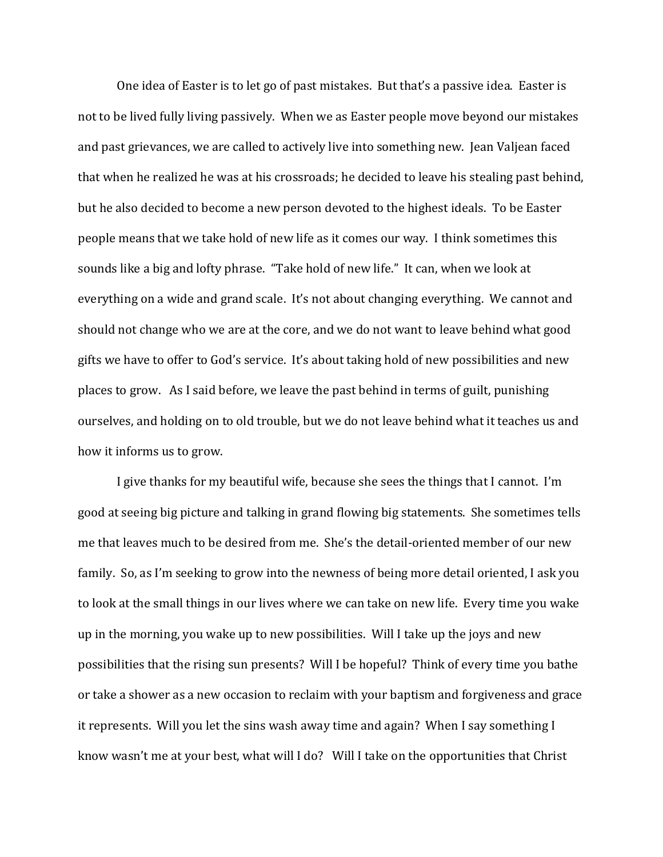One idea of Easter is to let go of past mistakes. But that's a passive idea. Easter is not to be lived fully living passively. When we as Easter people move beyond our mistakes and past grievances, we are called to actively live into something new. Jean Valjean faced that when he realized he was at his crossroads; he decided to leave his stealing past behind, but he also decided to become a new person devoted to the highest ideals. To be Easter people means that we take hold of new life as it comes our way. I think sometimes this sounds like a big and lofty phrase. "Take hold of new life." It can, when we look at everything on a wide and grand scale. It's not about changing everything. We cannot and should not change who we are at the core, and we do not want to leave behind what good gifts we have to offer to God's service. It's about taking hold of new possibilities and new places to grow. As I said before, we leave the past behind in terms of guilt, punishing ourselves, and holding on to old trouble, but we do not leave behind what it teaches us and how it informs us to grow.

I give thanks for my beautiful wife, because she sees the things that I cannot. I'm good at seeing big picture and talking in grand flowing big statements. She sometimes tells me that leaves much to be desired from me. She's the detail-oriented member of our new family. So, as I'm seeking to grow into the newness of being more detail oriented, I ask you to look at the small things in our lives where we can take on new life. Every time you wake up in the morning, you wake up to new possibilities. Will I take up the joys and new possibilities that the rising sun presents? Will I be hopeful? Think of every time you bathe or take a shower as a new occasion to reclaim with your baptism and forgiveness and grace it represents. Will you let the sins wash away time and again? When I say something I know wasn't me at your best, what will I do? Will I take on the opportunities that Christ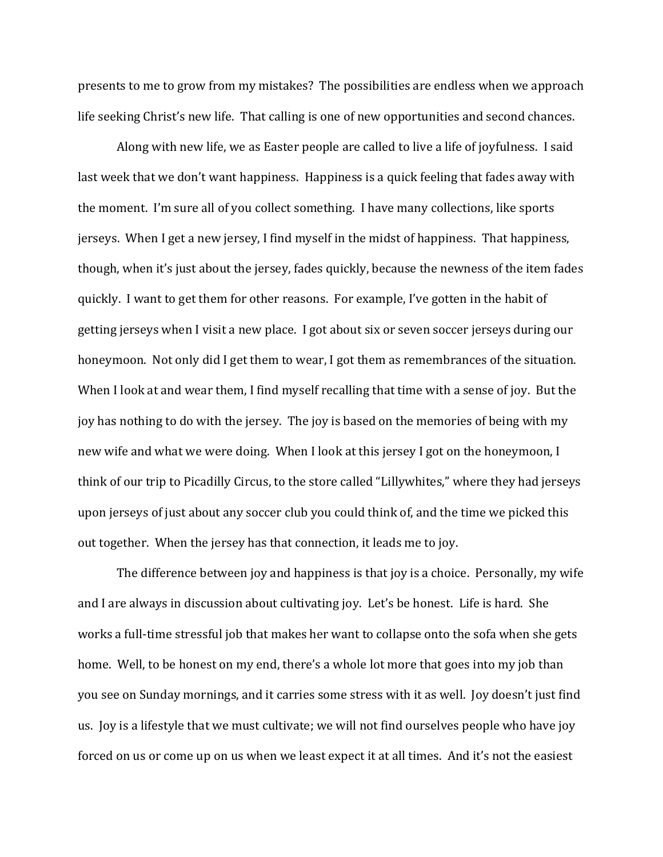presents to me to grow from my mistakes? The possibilities are endless when we approach life seeking Christ's new life. That calling is one of new opportunities and second chances.

 Along with new life, we as Easter people are called to live a life of joyfulness. I said last week that we don't want happiness. Happiness is a quick feeling that fades away with the moment. I'm sure all of you collect something. I have many collections, like sports jerseys. When I get a new jersey, I find myself in the midst of happiness. That happiness, though, when it's just about the jersey, fades quickly, because the newness of the item fades quickly. I want to get them for other reasons. For example, I've gotten in the habit of getting jerseys when I visit a new place. I got about six or seven soccer jerseys during our honeymoon. Not only did I get them to wear, I got them as remembrances of the situation. When I look at and wear them, I find myself recalling that time with a sense of joy. But the joy has nothing to do with the jersey. The joy is based on the memories of being with my new wife and what we were doing. When I look at this jersey I got on the honeymoon, I think of our trip to Picadilly Circus, to the store called "Lillywhites," where they had jerseys upon jerseys of just about any soccer club you could think of, and the time we picked this out together. When the jersey has that connection, it leads me to joy.

 The difference between joy and happiness is that joy is a choice. Personally, my wife and I are always in discussion about cultivating joy. Let's be honest. Life is hard. She works a full-time stressful job that makes her want to collapse onto the sofa when she gets home. Well, to be honest on my end, there's a whole lot more that goes into my job than you see on Sunday mornings, and it carries some stress with it as well. Joy doesn't just find us. Joy is a lifestyle that we must cultivate; we will not find ourselves people who have joy forced on us or come up on us when we least expect it at all times. And it's not the easiest